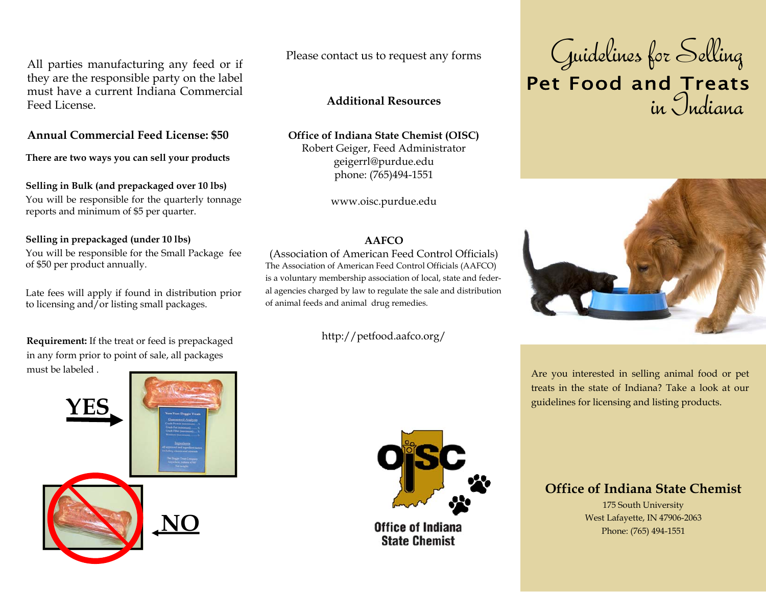All parties manufacturing any feed or if they are the responsible party on the label must have a current Indiana Commercial Feed License.

# **Annual Commercial Feed License: \$50**

**There are two ways you can sell your products** 

# **Selling in Bulk (and prepackaged over 10 lbs)**

You will be responsible for the quarterly tonnage reports and minimum of \$5 per quarter.

# **Selling in prepackaged (under 10 lbs)**

You will be responsible for the Small Package fee of \$50 per product annually.

Late fees will apply if found in distribution prior to licensing and/or listing small packages.

**Requirement:** If the treat or feed is prepackaged in any form prior to point of sale, all packages must be labeled .



Please contact us to request any forms

# **Additional Resources**

### **Office of Indiana State Chemist (OISC)**  Robert Geiger, Feed Administrator

geigerrl@purdue.edu phone: (765)494-1551

www.oisc.purdue.edu

### **AAFCO**

(Association of American Feed Control Officials) The Association of American Feed Control Officials (AAFCO) is a voluntary membership association of local, state and federal agencies charged by law to regulate the sale and distribution of animal feeds and animal drug remedies.

http://petfood.aafco.org/



**Office of Indiana State Chemist** 





Are you interested in selling animal food or pet treats in the state of Indiana? Take a look at our guidelines for licensing and listing products.

# **Office of Indiana State Chemist**

175 South University West Lafayette, IN 47906-2063 Phone: (765) 494-1551